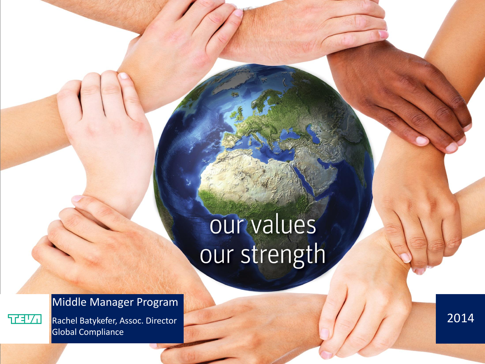## our values our strength

## Middle Manager Program

Rachel Batykefer, Assoc. Director Global Compliance

エヨソロ

 $\overline{|2014|}$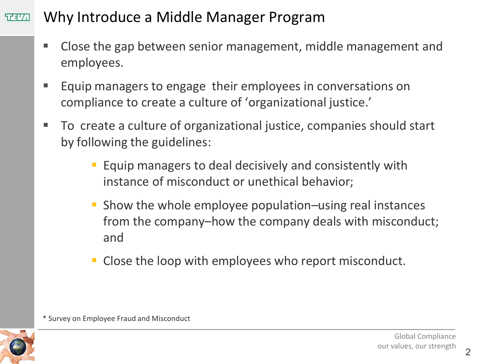#### Why Introduce a Middle Manager Program  $TTIT$

- Close the gap between senior management, middle management and employees.
- **Equip managers to engage their employees in conversations on** compliance to create a culture of 'organizational justice.'
- To create a culture of organizational justice, companies should start by following the guidelines:
	- Equip managers to deal decisively and consistently with instance of misconduct or unethical behavior;
	- Show the whole employee population–using real instances from the company–how the company deals with misconduct; and
	- Close the loop with employees who report misconduct.

\* Survey on Employee Fraud and Misconduct

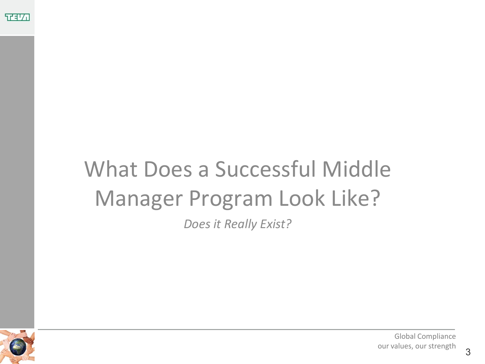

# What Does a Successful Middle Manager Program Look Like?

*Does it Really Exist?*



 $\frac{1}{2}$  our values, our strength  $\frac{1}{2}$ Global Compliance our values, our strength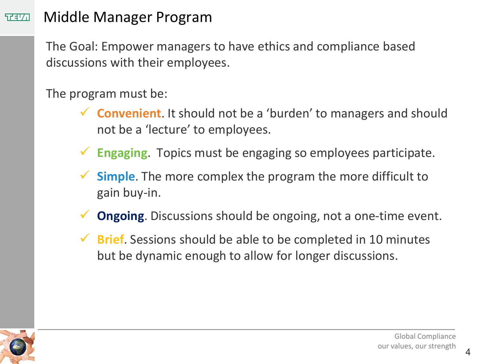#### Middle Manager Program ヤキム

The Goal: Empower managers to have ethics and compliance based discussions with their employees.

The program must be:

- **Convenient**. It should not be a 'burden' to managers and should not be a 'lecture' to employees.
- **Engaging**. Topics must be engaging so employees participate.
- **Simple**. The more complex the program the more difficult to gain buy-in.
- **Ongoing**. Discussions should be ongoing, not a one-time event.
- **Brief**. Sessions should be able to be completed in 10 minutes but be dynamic enough to allow for longer discussions.

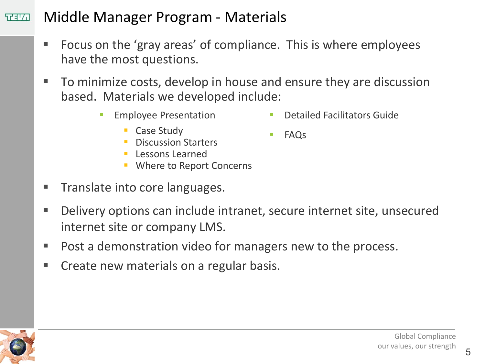#### Middle Manager Program - Materials 在北口

- Focus on the 'gray areas' of compliance. This is where employees have the most questions.
- To minimize costs, develop in house and ensure they are discussion based. Materials we developed include:
	- **Employee Presentation**

Detailed Facilitators Guide

**FAQS** 

- Case Study
- Discussion Starters
- **Lessons Learned**
- **Where to Report Concerns**
- Translate into core languages.
- Delivery options can include intranet, secure internet site, unsecured internet site or company LMS.
- Post a demonstration video for managers new to the process.
- Create new materials on a regular basis.



 $\frac{1}{2}$  by the cour values, our strength  $\frac{1}{2}$ Global Compliance our values, our strength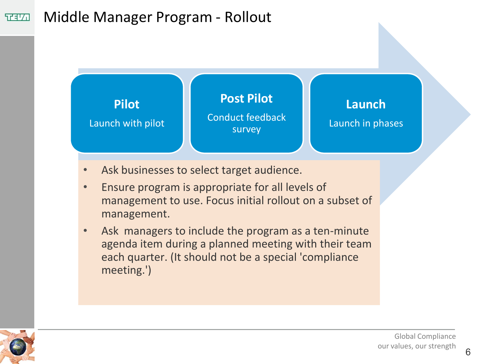#### Middle Manager Program - Rollout **TELA**

**Pilot**

Launch with pilot **Post Pilot** Conduct feedback

## **Launch**

Launch in phases

- Ask businesses to select target audience.
- Ensure program is appropriate for all levels of management to use. Focus initial rollout on a subset of management.

survey

Ask managers to include the program as a ten-minute agenda item during a planned meeting with their team each quarter. (It should not be a special 'compliance meeting.')



 $\frac{1}{2}$  by the cour values, our strength  $\frac{1}{2}$  6 Global Compliance our values, our strength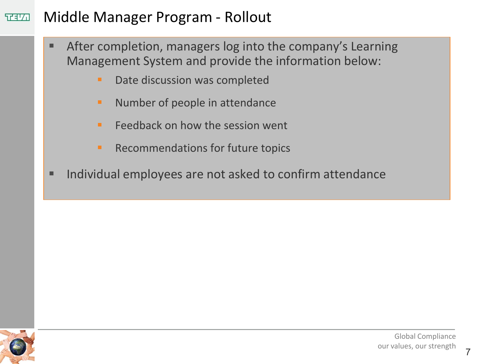#### Middle Manager Program - Rollout **TELA**

- After completion, managers log into the company's Learning Management System and provide the information below:
	- **Date discussion was completed**
	- **Number of people in attendance**
	- $\blacksquare$  Feedback on how the session went
	- **Recommendations for future topics**
- Individual employees are not asked to confirm attendance

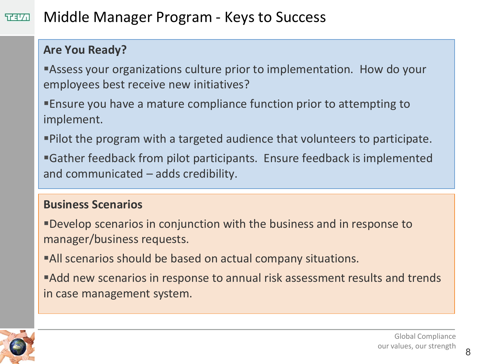#### Middle Manager Program - Keys to Success  $TTIT$

### **Are You Ready?**

Assess your organizations culture prior to implementation. How do your employees best receive new initiatives?

Ensure you have a mature compliance function prior to attempting to implement.

Pilot the program with a targeted audience that volunteers to participate.

Gather feedback from pilot participants. Ensure feedback is implemented and communicated – adds credibility.

## **Business Scenarios**

Develop scenarios in conjunction with the business and in response to manager/business requests.

All scenarios should be based on actual company situations.

Add new scenarios in response to annual risk assessment results and trends in case management system.